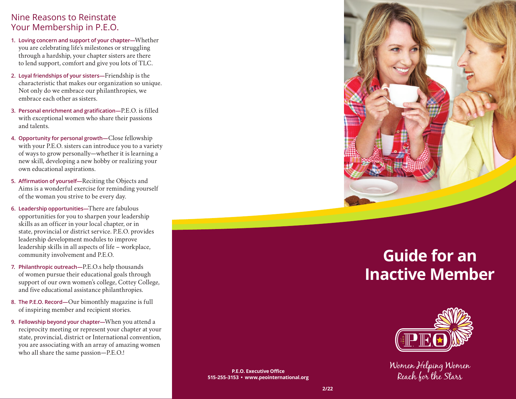## Nine Reasons to Reinstate Your Membership in P.E.O.

- **1. Loving concern and support of your chapter—**Whether you are celebrating life's milestones or struggling through a hardship, your chapter sisters are there to lend support, comfort and give you lots of TLC.
- **2. Loyal friendships of your sisters—**Friendship is the characteristic that makes our organization so unique. Not only do we embrace our philanthropies, we embrace each other as sisters.
- **3. Personal enrichment and gratification—**P.E.O. is filled with exceptional women who share their passions and talents.
- **4. Opportunity for personal growth—**Close fellowship with your P.E.O. sisters can introduce you to a variety of ways to grow personally—whether it is learning a new skill, developing a new hobby or realizing your own educational aspirations.
- **5. Affirmation of yourself—**Reciting the Objects and Aims is a wonderful exercise for reminding yourself of the woman you strive to be every day.
- **6. Leadership opportunities—**There are fabulous opportunities for you to sharpen your leadership skills as an officer in your local chapter, or in state, provincial or district service. P.E.O. provides leadership development modules to improve leadership skills in all aspects of life – workplace, community involvement and P.E.O.
- **7. Philanthropic outreach—**P.E.O.s help thousands of women pursue their educational goals through support of our own women's college, Cottey College, and five educational assistance philanthropies.
- **8. The P.E.O. Record—**Our bimonthly magazine is full of inspiring member and recipient stories.
- **9. Fellowship beyond your chapter—**When you attend a reciprocity meeting or represent your chapter at your state, provincial, district or International convention, you are associating with an array of amazing women who all share the same passion—P.E.O.!

**P.E.O. Executive Office 515-255-3153 • www.peointernational.org**



# **Guide for an Inactive Member**



Women Helping Women Reach for the Stars